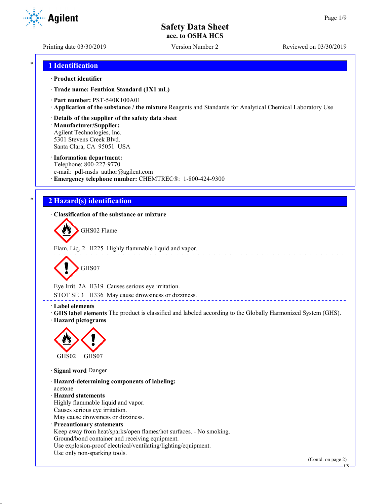Printing date 03/30/2019 Version Number 2 Reviewed on 03/30/2019

**Agilent** 

## \* **1 Identification**

## · **Product identifier**

· **Trade name: Fenthion Standard (1X1 mL)**

· **Part number:** PST-540K100A01

· **Application of the substance / the mixture** Reagents and Standards for Analytical Chemical Laboratory Use

## · **Details of the supplier of the safety data sheet**

· **Manufacturer/Supplier:** Agilent Technologies, Inc. 5301 Stevens Creek Blvd. Santa Clara, CA 95051 USA

#### · **Information department:**

Telephone: 800-227-9770 e-mail: pdl-msds author@agilent.com · **Emergency telephone number:** CHEMTREC®: 1-800-424-9300

## \* **2 Hazard(s) identification**

· **Classification of the substance or mixture**

GHS02 Flame

Flam. Liq. 2 H225 Highly flammable liquid and vapor.



Eye Irrit. 2A H319 Causes serious eye irritation.

STOT SE 3 H336 May cause drowsiness or dizziness.

#### · **Label elements**

· **GHS label elements** The product is classified and labeled according to the Globally Harmonized System (GHS). · **Hazard pictograms**

<u>L'ELELLETTE</u>



· **Signal word** Danger

· **Hazard-determining components of labeling:** acetone · **Hazard statements** Highly flammable liquid and vapor. Causes serious eye irritation. May cause drowsiness or dizziness. · **Precautionary statements** Keep away from heat/sparks/open flames/hot surfaces. - No smoking. Ground/bond container and receiving equipment. Use explosion-proof electrical/ventilating/lighting/equipment.

Use only non-sparking tools.

(Contd. on page 2)

US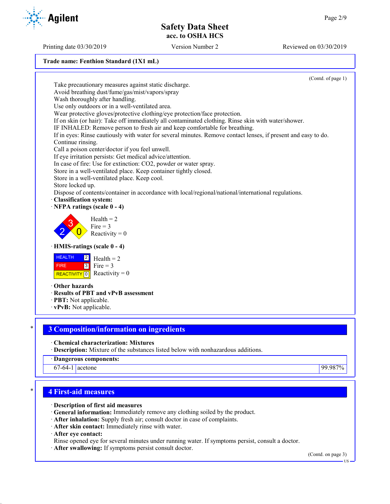**Trade name: Fenthion Standard (1X1 mL)**

(Contd. of page 1) Take precautionary measures against static discharge. Avoid breathing dust/fume/gas/mist/vapors/spray Wash thoroughly after handling. Use only outdoors or in a well-ventilated area. Wear protective gloves/protective clothing/eye protection/face protection. If on skin (or hair): Take off immediately all contaminated clothing. Rinse skin with water/shower. IF INHALED: Remove person to fresh air and keep comfortable for breathing. If in eyes: Rinse cautiously with water for several minutes. Remove contact lenses, if present and easy to do. Continue rinsing. Call a poison center/doctor if you feel unwell. If eye irritation persists: Get medical advice/attention. In case of fire: Use for extinction: CO2, powder or water spray. Store in a well-ventilated place. Keep container tightly closed. Store in a well-ventilated place. Keep cool. Store locked up. Dispose of contents/container in accordance with local/regional/national/international regulations. · **Classification system:** · **NFPA ratings (scale 0 - 4)** 2 3  $\overline{0}$  $Health = 2$  $Fire = 3$ Reactivity  $= 0$ · **HMIS-ratings (scale 0 - 4) HEALTH**  FIRE REACTIVITY  $\boxed{0}$  Reactivity = 0  $|2|$  $3$  Fire = 3  $Health = 2$ · **Other hazards** · **Results of PBT and vPvB assessment** · **PBT:** Not applicable. · **vPvB:** Not applicable. \* **3 Composition/information on ingredients** · **Chemical characterization: Mixtures** · **Description:** Mixture of the substances listed below with nonhazardous additions. · **Dangerous components:**

67-64-1 acetone 99.987%

## \* **4 First-aid measures**

· **Description of first aid measures**

- · **General information:** Immediately remove any clothing soiled by the product.
- · **After inhalation:** Supply fresh air; consult doctor in case of complaints.
- · **After skin contact:** Immediately rinse with water.

· **After eye contact:**

Rinse opened eye for several minutes under running water. If symptoms persist, consult a doctor.

· **After swallowing:** If symptoms persist consult doctor.

(Contd. on page 3)

US

Printing date 03/30/2019 Version Number 2 Reviewed on 03/30/2019

**Agilent**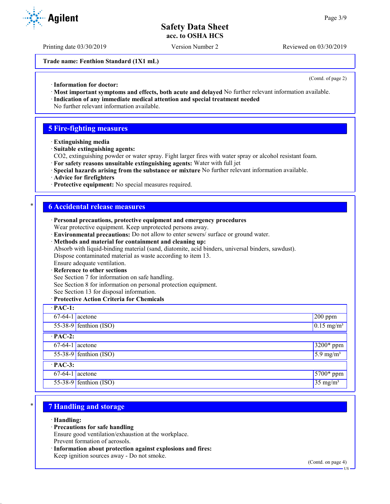Printing date 03/30/2019 Version Number 2 Reviewed on 03/30/2019

**Trade name: Fenthion Standard (1X1 mL)**

(Contd. of page 2)

- · **Information for doctor:**
- · **Most important symptoms and effects, both acute and delayed** No further relevant information available.
- · **Indication of any immediate medical attention and special treatment needed** No further relevant information available.

## **5 Fire-fighting measures**

- · **Extinguishing media**
- · **Suitable extinguishing agents:**
- CO2, extinguishing powder or water spray. Fight larger fires with water spray or alcohol resistant foam.
- · **For safety reasons unsuitable extinguishing agents:** Water with full jet
- · **Special hazards arising from the substance or mixture** No further relevant information available.
- · **Advice for firefighters**
- · **Protective equipment:** No special measures required.

## \* **6 Accidental release measures**

- · **Personal precautions, protective equipment and emergency procedures** Wear protective equipment. Keep unprotected persons away.
- · **Environmental precautions:** Do not allow to enter sewers/ surface or ground water.
- · **Methods and material for containment and cleaning up:**

Absorb with liquid-binding material (sand, diatomite, acid binders, universal binders, sawdust).

Dispose contaminated material as waste according to item 13.

# Ensure adequate ventilation.

**Reference to other sections** 

See Section 7 for information on safe handling.

See Section 8 for information on personal protection equipment.

See Section 13 for disposal information.

## · **Protective Action Criteria for Chemicals**

| $\cdot$ PAC-1:    |                          |                          |  |
|-------------------|--------------------------|--------------------------|--|
| $67-64-1$ acetone |                          | $200$ ppm                |  |
|                   | $55-38-9$ fenthion (ISO) | $0.15$ mg/m <sup>3</sup> |  |
| $\cdot$ PAC-2:    |                          |                          |  |
| $67-64-1$ acetone |                          | 3200* ppm                |  |
|                   | $55-38-9$ fenthion (ISO) | $5.9$ mg/m <sup>3</sup>  |  |
| $\cdot$ PAC-3:    |                          |                          |  |
| $67-64-1$ acetone |                          | 5700* ppm                |  |
|                   | $55-38-9$ fenthion (ISO) | $35$ mg/m <sup>3</sup>   |  |

# \* **7 Handling and storage**

· **Handling:**

· **Precautions for safe handling**

Ensure good ventilation/exhaustion at the workplace. Prevent formation of aerosols.

· **Information about protection against explosions and fires:** Keep ignition sources away - Do not smoke.

**Agilent**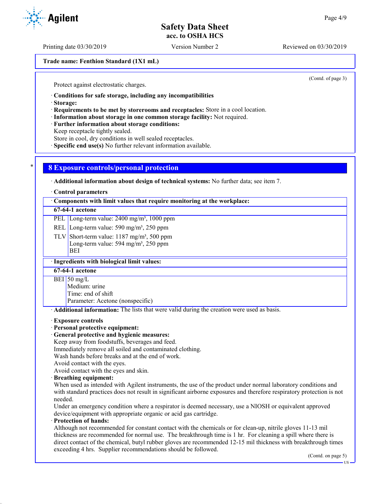Printing date 03/30/2019 Version Number 2 Reviewed on 03/30/2019

**Trade name: Fenthion Standard (1X1 mL)**

(Contd. of page 3)

Protect against electrostatic charges.

· **Conditions for safe storage, including any incompatibilities**

· **Storage:**

· **Requirements to be met by storerooms and receptacles:** Store in a cool location.

· **Information about storage in one common storage facility:** Not required.

· **Further information about storage conditions:**

Keep receptacle tightly sealed.

Store in cool, dry conditions in well sealed receptacles.

· **Specific end use(s)** No further relevant information available.

## \* **8 Exposure controls/personal protection**

· **Additional information about design of technical systems:** No further data; see item 7.

#### · **Control parameters**

· **Components with limit values that require monitoring at the workplace:**

## **67-64-1 acetone**

PEL Long-term value: 2400 mg/m<sup>3</sup>, 1000 ppm

REL Long-term value: 590 mg/m<sup>3</sup>, 250 ppm

TLV Short-term value:  $1187 \text{ mg/m}^3$ , 500 ppm Long-term value: 594 mg/m<sup>3</sup>, 250 ppm BEI

### · **Ingredients with biological limit values:**

**67-64-1 acetone**

BEI 50 mg/L

Medium: urine

Time: end of shift

Parameter: Acetone (nonspecific)

· **Additional information:** The lists that were valid during the creation were used as basis.

#### · **Exposure controls**

#### · **Personal protective equipment:**

· **General protective and hygienic measures:**

Keep away from foodstuffs, beverages and feed.

Immediately remove all soiled and contaminated clothing.

Wash hands before breaks and at the end of work.

Avoid contact with the eyes.

Avoid contact with the eyes and skin.

#### · **Breathing equipment:**

When used as intended with Agilent instruments, the use of the product under normal laboratory conditions and with standard practices does not result in significant airborne exposures and therefore respiratory protection is not needed.

Under an emergency condition where a respirator is deemed necessary, use a NIOSH or equivalent approved device/equipment with appropriate organic or acid gas cartridge.

## · **Protection of hands:**

Although not recommended for constant contact with the chemicals or for clean-up, nitrile gloves 11-13 mil thickness are recommended for normal use. The breakthrough time is 1 hr. For cleaning a spill where there is direct contact of the chemical, butyl rubber gloves are recommended 12-15 mil thickness with breakthrough times exceeding 4 hrs. Supplier recommendations should be followed.

(Contd. on page 5)

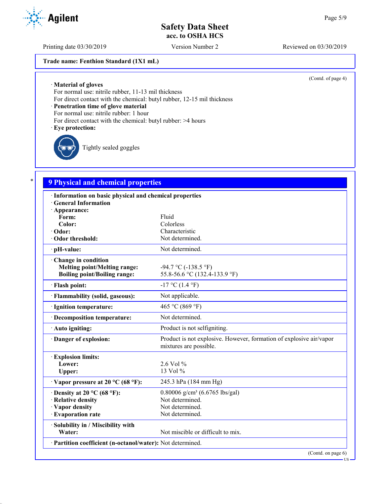Printing date 03/30/2019 Version Number 2 Reviewed on 03/30/2019

## **Trade name: Fenthion Standard (1X1 mL)**

(Contd. of page 4)

· **Material of gloves**

For normal use: nitrile rubber, 11-13 mil thickness

For direct contact with the chemical: butyl rubber, 12-15 mil thickness

· **Penetration time of glove material**

For normal use: nitrile rubber: 1 hour

For direct contact with the chemical: butyl rubber: >4 hours

#### · **Eye protection:**

Tightly sealed goggles

# \* **9 Physical and chemical properties**

| · Information on basic physical and chemical properties                                    |                                                                                               |
|--------------------------------------------------------------------------------------------|-----------------------------------------------------------------------------------------------|
| <b>General Information</b>                                                                 |                                                                                               |
| · Appearance:<br>Form:                                                                     | Fluid                                                                                         |
| Color:                                                                                     | Colorless                                                                                     |
| Odor:                                                                                      | Characteristic                                                                                |
| Odor threshold:                                                                            | Not determined.                                                                               |
| · pH-value:                                                                                | Not determined.                                                                               |
| Change in condition<br>Melting point/Melting range:<br><b>Boiling point/Boiling range:</b> | $-94.7 \text{ °C}$ ( $-138.5 \text{ °F}$ )<br>55.8-56.6 °C (132.4-133.9 °F)                   |
| · Flash point:                                                                             | $-17$ °C (1.4 °F)                                                                             |
| · Flammability (solid, gaseous):                                                           | Not applicable.                                                                               |
| · Ignition temperature:                                                                    | 465 °C (869 °F)                                                                               |
| · Decomposition temperature:                                                               | Not determined.                                                                               |
| · Auto igniting:                                                                           | Product is not selfigniting.                                                                  |
| · Danger of explosion:                                                                     | Product is not explosive. However, formation of explosive air/vapor<br>mixtures are possible. |
| <b>Explosion limits:</b>                                                                   |                                                                                               |
| Lower:                                                                                     | 2.6 Vol $%$                                                                                   |
| Upper:                                                                                     | 13 Vol %                                                                                      |
| $\cdot$ Vapor pressure at 20 °C (68 °F):                                                   | 245.3 hPa (184 mm Hg)                                                                         |
| $\cdot$ Density at 20 °C (68 °F):                                                          | $0.80006$ g/cm <sup>3</sup> (6.6765 lbs/gal)                                                  |
| · Relative density                                                                         | Not determined.                                                                               |
| · Vapor density                                                                            | Not determined.                                                                               |
| · Evaporation rate                                                                         | Not determined.                                                                               |
| · Solubility in / Miscibility with                                                         |                                                                                               |
| Water:                                                                                     | Not miscible or difficult to mix.                                                             |
| · Partition coefficient (n-octanol/water): Not determined.                                 |                                                                                               |
|                                                                                            | (Contd. on page 6)                                                                            |

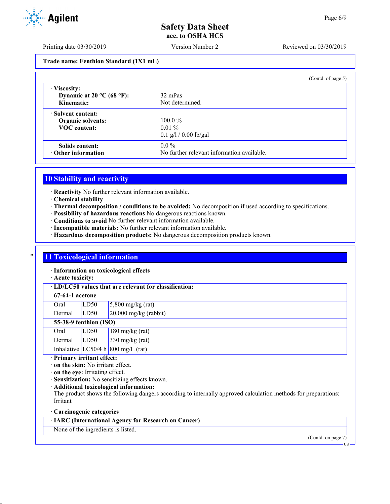Printing date 03/30/2019 Version Number 2 Reviewed on 03/30/2019

**Trade name: Fenthion Standard (1X1 mL)**

|                                                                  | (Contd. of page $5$ )                      |
|------------------------------------------------------------------|--------------------------------------------|
| · Viscosity:<br>Dynamic at $20^{\circ}$ C (68 °F):<br>Kinematic: | 32 mPas<br>Not determined.                 |
| · Solvent content:                                               |                                            |
| Organic solvents:                                                | $100.0\%$                                  |
| <b>VOC</b> content:                                              | $0.01\%$                                   |
|                                                                  | $0.1$ g/l / 0.00 lb/gal                    |
| Solids content:                                                  | $0.0\%$                                    |
| $\cdot$ Other information                                        | No further relevant information available. |

## **10 Stability and reactivity**

· **Reactivity** No further relevant information available.

- · **Chemical stability**
- · **Thermal decomposition / conditions to be avoided:** No decomposition if used according to specifications.
- · **Possibility of hazardous reactions** No dangerous reactions known.
- · **Conditions to avoid** No further relevant information available.
- · **Incompatible materials:** No further relevant information available.
- · **Hazardous decomposition products:** No dangerous decomposition products known.

## **11 Toxicological information**

· **Information on toxicological effects**

· **Acute toxicity:**

· **LD/LC50 values that are relevant for classification:**

## **67-64-1 acetone**

| Oral   | LD50 | $5,800$ mg/kg (rat)     |
|--------|------|-------------------------|
| Dermal | LD50 | $20,000$ mg/kg (rabbit) |

## **55-38-9 fenthion (ISO)**

| Oral   | LD50 | $180$ mg/kg (rat)                  |
|--------|------|------------------------------------|
| Dermal | LD50 | $330 \text{ mg/kg (rat)}$          |
|        |      | Inhalative LC50/4 h 800 mg/L (rat) |

· **Primary irritant effect:**

· **on the skin:** No irritant effect.

- · **on the eye:** Irritating effect.
- · **Sensitization:** No sensitizing effects known.
- · **Additional toxicological information:**

The product shows the following dangers according to internally approved calculation methods for preparations: Irritant

## · **Carcinogenic categories**

# · **IARC (International Agency for Research on Cancer)**

None of the ingredients is listed.

(Contd. on page 7)

US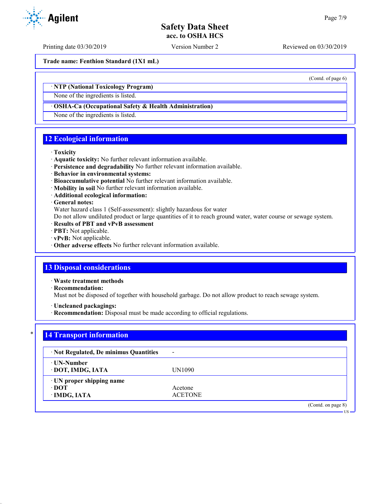Printing date 03/30/2019 Version Number 2 Reviewed on 03/30/2019

**Trade name: Fenthion Standard (1X1 mL)**

· **NTP (National Toxicology Program)**

None of the ingredients is listed.

### · **OSHA-Ca (Occupational Safety & Health Administration)**

None of the ingredients is listed.

## **12 Ecological information**

#### · **Toxicity**

- · **Aquatic toxicity:** No further relevant information available.
- · **Persistence and degradability** No further relevant information available.
- · **Behavior in environmental systems:**
- · **Bioaccumulative potential** No further relevant information available.
- · **Mobility in soil** No further relevant information available.
- · **Additional ecological information:**

### · **General notes:**

Water hazard class 1 (Self-assessment): slightly hazardous for water

Do not allow undiluted product or large quantities of it to reach ground water, water course or sewage system.

- · **Results of PBT and vPvB assessment**
- · **PBT:** Not applicable.
- · **vPvB:** Not applicable.
- · **Other adverse effects** No further relevant information available.

## **13 Disposal considerations**

· **Waste treatment methods**

· **Recommendation:**

Must not be disposed of together with household garbage. Do not allow product to reach sewage system.

- · **Uncleaned packagings:**
- · **Recommendation:** Disposal must be made according to official regulations.

| · Not Regulated, De minimus Quantities | $\blacksquare$ |  |
|----------------------------------------|----------------|--|
| · UN-Number                            |                |  |
| · DOT, IMDG, IATA                      | UN1090         |  |
| · UN proper shipping name              |                |  |
| $\cdot$ DOT                            | Acetone        |  |
| · IMDG, IATA                           | <b>ACETONE</b> |  |



(Contd. of page 6)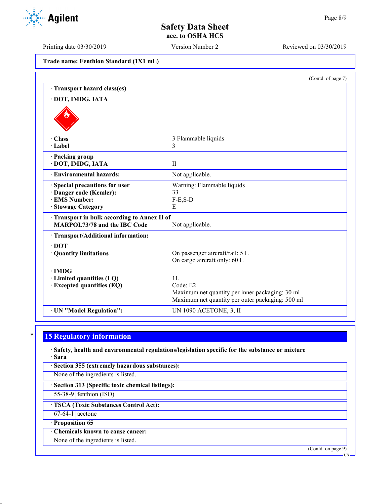Printing date 03/30/2019 Version Number 2 Reviewed on 03/30/2019

| Trade name: Fenthion Standard (1X1 mL) |  |  |  |  |
|----------------------------------------|--|--|--|--|
|----------------------------------------|--|--|--|--|

|                                                                                   | (Contd. of page 7)                               |
|-----------------------------------------------------------------------------------|--------------------------------------------------|
| · Transport hazard class(es)                                                      |                                                  |
| · DOT, IMDG, IATA                                                                 |                                                  |
|                                                                                   |                                                  |
| · Class                                                                           | 3 Flammable liquids                              |
| · Label                                                                           | 3                                                |
| · Packing group<br>· DOT, IMDG, IATA                                              | $_{\rm II}$                                      |
| <b>Environmental hazards:</b>                                                     | Not applicable.                                  |
| Special precautions for user                                                      | Warning: Flammable liquids                       |
| · Danger code (Kemler):                                                           | 33                                               |
| <b>EMS Number:</b>                                                                | $F-E,S-D$                                        |
| <b>Stowage Category</b>                                                           | E                                                |
| Transport in bulk according to Annex II of<br><b>MARPOL73/78 and the IBC Code</b> | Not applicable.                                  |
| · Transport/Additional information:                                               |                                                  |
| $\cdot$ DOT                                                                       |                                                  |
| · Quantity limitations                                                            | On passenger aircraft/rail: 5 L                  |
|                                                                                   | On cargo aircraft only: 60 L                     |
| $\cdot$ IMDG                                                                      |                                                  |
| · Limited quantities (LQ)                                                         | 1 <sub>L</sub>                                   |
| $\cdot$ Excepted quantities (EQ)                                                  | Code: E2                                         |
|                                                                                   | Maximum net quantity per inner packaging: 30 ml  |
|                                                                                   | Maximum net quantity per outer packaging: 500 ml |
| · UN "Model Regulation":                                                          | UN 1090 ACETONE, 3, II                           |

# **15 Regulatory information**

· **Safety, health and environmental regulations/legislation specific for the substance or mixture** · **Sara**

| · Section 355 (extremely hazardous substances): |  |
|-------------------------------------------------|--|
| None of the ingredients is listed.              |  |

· **Section 313 (Specific toxic chemical listings):**

55-38-9 fenthion (ISO)

· **TSCA (Toxic Substances Control Act):**

67-64-1 acetone

· **Proposition 65**

· **Chemicals known to cause cancer:**

None of the ingredients is listed.

(Contd. on page 9)



US